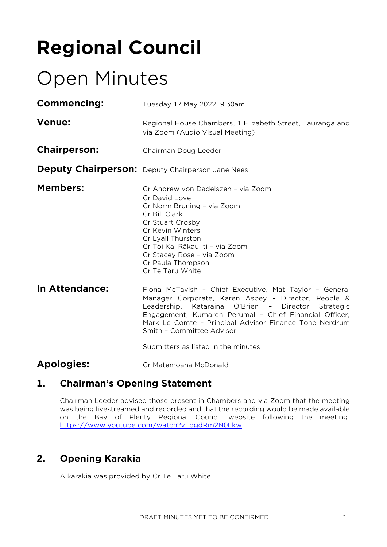# **Regional Council**

## Open Minutes

| <b>Commencing:</b>  | Tuesday 17 May 2022, 9.30am                                                                                                                                                                                                                                                                                          |
|---------------------|----------------------------------------------------------------------------------------------------------------------------------------------------------------------------------------------------------------------------------------------------------------------------------------------------------------------|
| <b>Venue:</b>       | Regional House Chambers, 1 Elizabeth Street, Tauranga and<br>via Zoom (Audio Visual Meeting)                                                                                                                                                                                                                         |
| <b>Chairperson:</b> | Chairman Doug Leeder                                                                                                                                                                                                                                                                                                 |
|                     | <b>Deputy Chairperson:</b> Deputy Chairperson Jane Nees                                                                                                                                                                                                                                                              |
| <b>Members:</b>     | Cr Andrew von Dadelszen - via Zoom<br>Cr David Love<br>Cr Norm Bruning - via Zoom<br>Cr Bill Clark<br>Cr Stuart Crosby<br>Cr Kevin Winters<br>Cr Lyall Thurston<br>Cr Toi Kai Rākau Iti - via Zoom<br>Cr Stacey Rose - via Zoom<br>Cr Paula Thompson<br>Cr Te Taru White                                             |
| In Attendance:      | Fiona McTavish - Chief Executive, Mat Taylor - General<br>Manager Corporate, Karen Aspey - Director, People &<br>Leadership, Kataraina O'Brien - Director Strategic<br>Engagement, Kumaren Perumal - Chief Financial Officer,<br>Mark Le Comte - Principal Advisor Finance Tone Nerdrum<br>Smith - Committee Advisor |

Submitters as listed in the minutes

#### **Apologies:** Cr Matemoana McDonald

#### **1. Chairman's Opening Statement**

Chairman Leeder advised those present in Chambers and via Zoom that the meeting was being livestreamed and recorded and that the recording would be made available on the Bay of Plenty Regional Council website following the meeting. <https://www.youtube.com/watch?v=pgdRm2N0Lkw>

## **2. Opening Karakia**

A karakia was provided by Cr Te Taru White.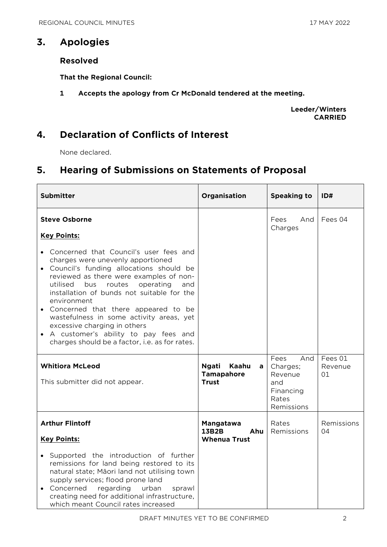## **3. Apologies**

#### **Resolved**

**That the Regional Council:**

**1 Accepts the apology from Cr McDonald tendered at the meeting.**

**Leeder/Winters CARRIED**

### **4. Declaration of Conflicts of Interest**

None declared.

## **5. Hearing of Submissions on Statements of Proposal**

| <b>Submitter</b>                                                                                                                                                                                                                                                                                                                                                                                                                                                                                            | Organisation                                                    | <b>Speaking to</b>                                                            | ID#                      |
|-------------------------------------------------------------------------------------------------------------------------------------------------------------------------------------------------------------------------------------------------------------------------------------------------------------------------------------------------------------------------------------------------------------------------------------------------------------------------------------------------------------|-----------------------------------------------------------------|-------------------------------------------------------------------------------|--------------------------|
| <b>Steve Osborne</b><br><b>Key Points:</b>                                                                                                                                                                                                                                                                                                                                                                                                                                                                  |                                                                 | Fees<br>And<br>Charges                                                        | Fees 04                  |
| • Concerned that Council's user fees and<br>charges were unevenly apportioned<br>Council's funding allocations should be<br>reviewed as there were examples of non-<br>bus<br>operating<br>utilised<br>routes<br>and<br>installation of bunds not suitable for the<br>environment<br>Concerned that there appeared to be<br>wastefulness in some activity areas, yet<br>excessive charging in others<br>A customer's ability to pay fees and<br>$\bullet$<br>charges should be a factor, i.e. as for rates. |                                                                 |                                                                               |                          |
| <b>Whitiora McLeod</b><br>This submitter did not appear.                                                                                                                                                                                                                                                                                                                                                                                                                                                    | <b>Ngati</b><br>Kaahu<br>a<br><b>Tamapahore</b><br><b>Trust</b> | Fees<br>And<br>Charges;<br>Revenue<br>and<br>Financing<br>Rates<br>Remissions | Fees 01<br>Revenue<br>01 |
| <b>Arthur Flintoff</b><br><b>Key Points:</b><br>Supported the introduction of further<br>remissions for land being restored to its<br>natural state; Māori land not utilising town<br>supply services; flood prone land<br>Concerned<br>regarding<br>urban<br>sprawl<br>$\bullet$<br>creating need for additional infrastructure,<br>which meant Council rates increased                                                                                                                                    | Mangatawa<br><b>13B2B</b><br>Ahu<br><b>Whenua Trust</b>         | Rates<br>Remissions                                                           | Remissions<br>04         |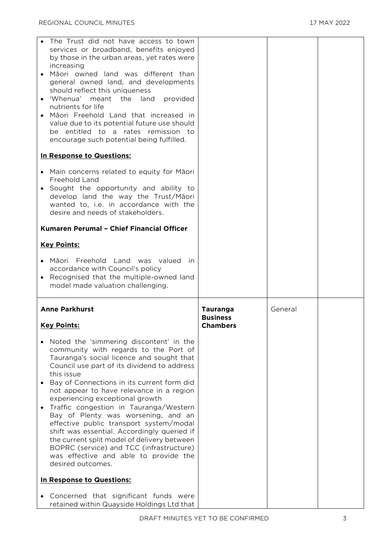| The Trust did not have access to town<br>services or broadband, benefits enjoyed<br>by those in the urban areas, yet rates were<br>increasing<br>Māori owned land was different than<br>general owned land, and developments<br>should reflect this uniqueness<br>'Whenua' meant<br>the<br>land<br>provided<br>$\bullet$<br>nutrients for life<br>Māori Freehold Land that increased in<br>$\bullet$<br>value due to its potential future use should<br>be entitled to a rates remission to<br>encourage such potential being fulfilled.                                                                                                                                              |                                                       |         |  |
|---------------------------------------------------------------------------------------------------------------------------------------------------------------------------------------------------------------------------------------------------------------------------------------------------------------------------------------------------------------------------------------------------------------------------------------------------------------------------------------------------------------------------------------------------------------------------------------------------------------------------------------------------------------------------------------|-------------------------------------------------------|---------|--|
| In Response to Questions:                                                                                                                                                                                                                                                                                                                                                                                                                                                                                                                                                                                                                                                             |                                                       |         |  |
| Main concerns related to equity for Māori<br>Freehold Land<br>Sought the opportunity and ability to<br>$\bullet$<br>develop land the way the Trust/Māori<br>wanted to, i.e. in accordance with the<br>desire and needs of stakeholders.                                                                                                                                                                                                                                                                                                                                                                                                                                               |                                                       |         |  |
| Kumaren Perumal - Chief Financial Officer                                                                                                                                                                                                                                                                                                                                                                                                                                                                                                                                                                                                                                             |                                                       |         |  |
| <b>Key Points:</b>                                                                                                                                                                                                                                                                                                                                                                                                                                                                                                                                                                                                                                                                    |                                                       |         |  |
| Māori Freehold Land was valued<br>in.<br>$\bullet$<br>accordance with Council's policy<br>Recognised that the multiple-owned land<br>$\bullet$                                                                                                                                                                                                                                                                                                                                                                                                                                                                                                                                        |                                                       |         |  |
| model made valuation challenging.                                                                                                                                                                                                                                                                                                                                                                                                                                                                                                                                                                                                                                                     |                                                       |         |  |
| <b>Anne Parkhurst</b><br><b>Key Points:</b>                                                                                                                                                                                                                                                                                                                                                                                                                                                                                                                                                                                                                                           | <b>Tauranga</b><br><b>Business</b><br><b>Chambers</b> | General |  |
| Noted the 'simmering discontent' in the<br>$\bullet$<br>community with regards to the Port of<br>Tauranga's social licence and sought that<br>Council use part of its dividend to address<br>this issue<br>Bay of Connections in its current form did<br>$\bullet$<br>not appear to have relevance in a region<br>experiencing exceptional growth<br>Traffic congestion in Tauranga/Western<br>Bay of Plenty was worsening, and an<br>effective public transport system/modal<br>shift was essential. Accordingly queried if<br>the current split model of delivery between<br>BOPRC (service) and TCC (infrastructure)<br>was effective and able to provide the<br>desired outcomes. |                                                       |         |  |
| In Response to Questions:                                                                                                                                                                                                                                                                                                                                                                                                                                                                                                                                                                                                                                                             |                                                       |         |  |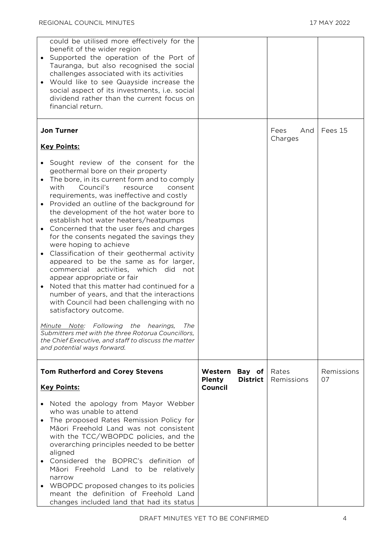| could be utilised more effectively for the<br>benefit of the wider region<br>Supported the operation of the Port of<br>Tauranga, but also recognised the social<br>challenges associated with its activities<br>Would like to see Quayside increase the<br>$\bullet$<br>social aspect of its investments, i.e. social<br>dividend rather than the current focus on<br>financial return.                                                                                                                                                                                                                                                                                                                                                                                                                                                                                                                                                                                                                        |                                                                  |                        |                  |
|----------------------------------------------------------------------------------------------------------------------------------------------------------------------------------------------------------------------------------------------------------------------------------------------------------------------------------------------------------------------------------------------------------------------------------------------------------------------------------------------------------------------------------------------------------------------------------------------------------------------------------------------------------------------------------------------------------------------------------------------------------------------------------------------------------------------------------------------------------------------------------------------------------------------------------------------------------------------------------------------------------------|------------------------------------------------------------------|------------------------|------------------|
| <b>Jon Turner</b><br><b>Key Points:</b>                                                                                                                                                                                                                                                                                                                                                                                                                                                                                                                                                                                                                                                                                                                                                                                                                                                                                                                                                                        |                                                                  | Fees<br>And<br>Charges | Fees 15          |
| • Sought review of the consent for the<br>geothermal bore on their property<br>The bore, in its current form and to comply<br>Council's<br>with<br>resource<br>consent<br>requirements, was ineffective and costly<br>Provided an outline of the background for<br>$\bullet$<br>the development of the hot water bore to<br>establish hot water heaters/heatpumps<br>Concerned that the user fees and charges<br>for the consents negated the savings they<br>were hoping to achieve<br>Classification of their geothermal activity<br>appeared to be the same as for larger,<br>commercial activities, which did not<br>appear appropriate or fair<br>Noted that this matter had continued for a<br>number of years, and that the interactions<br>with Council had been challenging with no<br>satisfactory outcome.<br>Minute Note: Following the hearings, The<br>Submitters met with the three Rotorua Councillors,<br>the Chief Executive, and staff to discuss the matter<br>and potential ways forward. |                                                                  |                        |                  |
| <b>Tom Rutherford and Corey Stevens</b><br><b>Key Points:</b>                                                                                                                                                                                                                                                                                                                                                                                                                                                                                                                                                                                                                                                                                                                                                                                                                                                                                                                                                  | Bay of<br>Western<br><b>District</b><br><b>Plenty</b><br>Council | Rates<br>Remissions    | Remissions<br>07 |
| • Noted the apology from Mayor Webber<br>who was unable to attend<br>The proposed Rates Remission Policy for<br>$\bullet$<br>Māori Freehold Land was not consistent<br>with the TCC/WBOPDC policies, and the<br>overarching principles needed to be better<br>aligned<br>Considered the BOPRC's definition of<br>$\bullet$<br>Māori Freehold Land to be relatively<br>narrow<br>WBOPDC proposed changes to its policies<br>meant the definition of Freehold Land<br>changes included land that had its status                                                                                                                                                                                                                                                                                                                                                                                                                                                                                                  |                                                                  |                        |                  |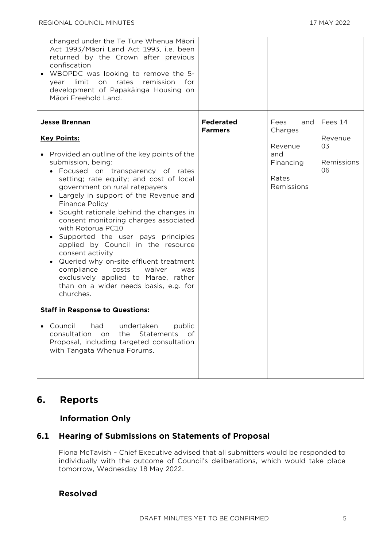| changed under the Te Ture Whenua Māori<br>Act 1993/Māori Land Act 1993, i.e. been<br>returned by the Crown after previous<br>confiscation<br>WBOPDC was looking to remove the 5-<br>limit<br>rates<br>remission<br>on<br>for<br>year<br>development of Papakāinga Housing on<br>Māori Freehold Land.                                                                                                                                                                                                                                                                                                                                                                                                                                                                                                                                                                                           |                                    |                                                                              |                                              |
|------------------------------------------------------------------------------------------------------------------------------------------------------------------------------------------------------------------------------------------------------------------------------------------------------------------------------------------------------------------------------------------------------------------------------------------------------------------------------------------------------------------------------------------------------------------------------------------------------------------------------------------------------------------------------------------------------------------------------------------------------------------------------------------------------------------------------------------------------------------------------------------------|------------------------------------|------------------------------------------------------------------------------|----------------------------------------------|
| <b>Jesse Brennan</b><br><b>Key Points:</b><br>Provided an outline of the key points of the<br>submission, being:<br>• Focused on transparency of rates<br>setting; rate equity; and cost of local<br>government on rural ratepayers<br>Largely in support of the Revenue and<br><b>Finance Policy</b><br>Sought rationale behind the changes in<br>consent monitoring charges associated<br>with Rotorua PC10<br>Supported the user pays principles<br>applied by Council in the resource<br>consent activity<br>Queried why on-site effluent treatment<br>compliance<br>costs<br>waiver<br>was<br>exclusively applied to Marae, rather<br>than on a wider needs basis, e.g. for<br>churches.<br><b>Staff in Response to Questions:</b><br>• Council had undertaken<br>public<br>consultation on the Statements of<br>Proposal, including targeted consultation<br>with Tangata Whenua Forums. | <b>Federated</b><br><b>Farmers</b> | Fees<br>and<br>Charges<br>Revenue<br>and<br>Financing<br>Rates<br>Remissions | Fees 14<br>Revenue<br>03<br>Remissions<br>06 |

## **6. Reports**

#### **Information Only**

#### **6.1 Hearing of Submissions on Statements of Proposal**

Fiona McTavish – Chief Executive advised that all submitters would be responded to individually with the outcome of Council's deliberations, which would take place tomorrow, Wednesday 18 May 2022.

#### **Resolved**